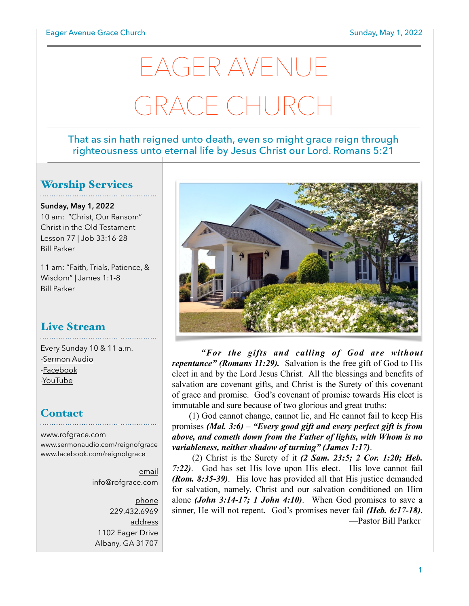# EAGER AVENUE GRACE CHURCH

#### That as sin hath reigned unto death, even so might grace reign through righteousness unto eternal life by Jesus Christ our Lord. Romans 5:21

#### Worship Services

**Sunday, May 1, 2022** 10 am: "Christ, Our Ransom" Christ in the Old Testament Lesson 77 | Job 33:16-28 Bill Parker

11 am: "Faith, Trials, Patience, & Wisdom" | James 1:1-8 Bill Parker

# Live Stream

Every Sunday 10 & 11 a.m. [-Sermon Audio](http://sermonaudio.com/reignofgrace) [-Facebook](http://facebook.com/eageravechurch) [-YouTube](http://youtube.com/channel/UCu_lTHCIUOK0cka9AjFV_5Q/live)

#### **Contact**

[www.rofgrace.com](http://www.rofgrace.com) [www.sermonaudio.com/reignofgrace](http://www.sermonaudio.com/reignofgrace) [www.facebook.com/reignofgrace](http://www.facebook.com/reignofgrace)

> email [info@rofgrace.com](mailto:info@rofgrace.com?subject=)

phone 229.432.6969 address 1102 Eager Drive Albany, GA 31707



 *"For the gifts and calling of God are without repentance" (Romans 11:29).* Salvation is the free gift of God to His elect in and by the Lord Jesus Christ. All the blessings and benefits of salvation are covenant gifts, and Christ is the Surety of this covenant of grace and promise. God's covenant of promise towards His elect is immutable and sure because of two glorious and great truths:

 (1) God cannot change, cannot lie, and He cannot fail to keep His promises *(Mal. 3:6)* – *"Every good gift and every perfect gift is from above, and cometh down from the Father of lights, with Whom is no variableness, neither shadow of turning" (James 1:17)*.

 (2) Christ is the Surety of it *(2 Sam. 23:5; 2 Cor. 1:20; Heb. 7:22)*. God has set His love upon His elect. His love cannot fail *(Rom. 8:35-39)*. His love has provided all that His justice demanded for salvation, namely, Christ and our salvation conditioned on Him alone *(John 3:14-17; 1 John 4:10)*. When God promises to save a sinner, He will not repent. God's promises never fail *(Heb. 6:17-18)*. —Pastor Bill Parker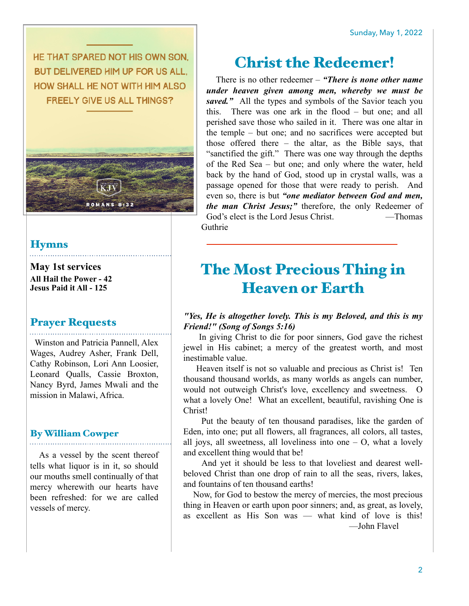HE THAT SPARED NOT HIS OWN SON. BUT DELIVERED HIM UP FOR US ALL. HOW SHALL HE NOT WITH HIM ALSO **FREELY GIVE US ALL THINGS?** 



#### **Hymns**

**May 1st services All Hail the Power - 42 Jesus Paid it All - 125**

#### Prayer Requests

 Winston and Patricia Pannell, Alex Wages, Audrey Asher, Frank Dell, Cathy Robinson, Lori Ann Loosier, Leonard Qualls, Cassie Broxton, Nancy Byrd, James Mwali and the mission in Malawi, Africa.

#### By William Cowper

 As a vessel by the scent thereof tells what liquor is in it, so should our mouths smell continually of that mercy wherewith our hearts have been refreshed: for we are called vessels of mercy.

## Christ the Redeemer!

There is no other redeemer – *"There is none other name under heaven given among men, whereby we must be*  saved." All the types and symbols of the Savior teach you this. There was one ark in the flood – but one; and all perished save those who sailed in it. There was one altar in the temple – but one; and no sacrifices were accepted but those offered there – the altar, as the Bible says, that "sanctified the gift." There was one way through the depths of the Red Sea – but one; and only where the water, held back by the hand of God, stood up in crystal walls, was a passage opened for those that were ready to perish. And even so, there is but *"one mediator between God and men, the man Christ Jesus;"* therefore, the only Redeemer of God's elect is the Lord Jesus Christ. — Thomas Guthrie

# The Most Precious Thing in Heaven or Earth

#### *"Yes, He is altogether lovely. This is my Beloved, and this is my Friend!" (Song of Songs 5:16)*

 In giving Christ to die for poor sinners, God gave the richest jewel in His cabinet; a mercy of the greatest worth, and most inestimable value.

 Heaven itself is not so valuable and precious as Christ is! Ten thousand thousand worlds, as many worlds as angels can number, would not outweigh Christ's love, excellency and sweetness. O what a lovely One! What an excellent, beautiful, ravishing One is Christ!

 Put the beauty of ten thousand paradises, like the garden of Eden, into one; put all flowers, all fragrances, all colors, all tastes, all joys, all sweetness, all loveliness into one  $-$  O, what a lovely and excellent thing would that be!

 And yet it should be less to that loveliest and dearest wellbeloved Christ than one drop of rain to all the seas, rivers, lakes, and fountains of ten thousand earths!

 Now, for God to bestow the mercy of mercies, the most precious thing in Heaven or earth upon poor sinners; and, as great, as lovely, as excellent as His Son was — what kind of love is this! —John Flavel

2